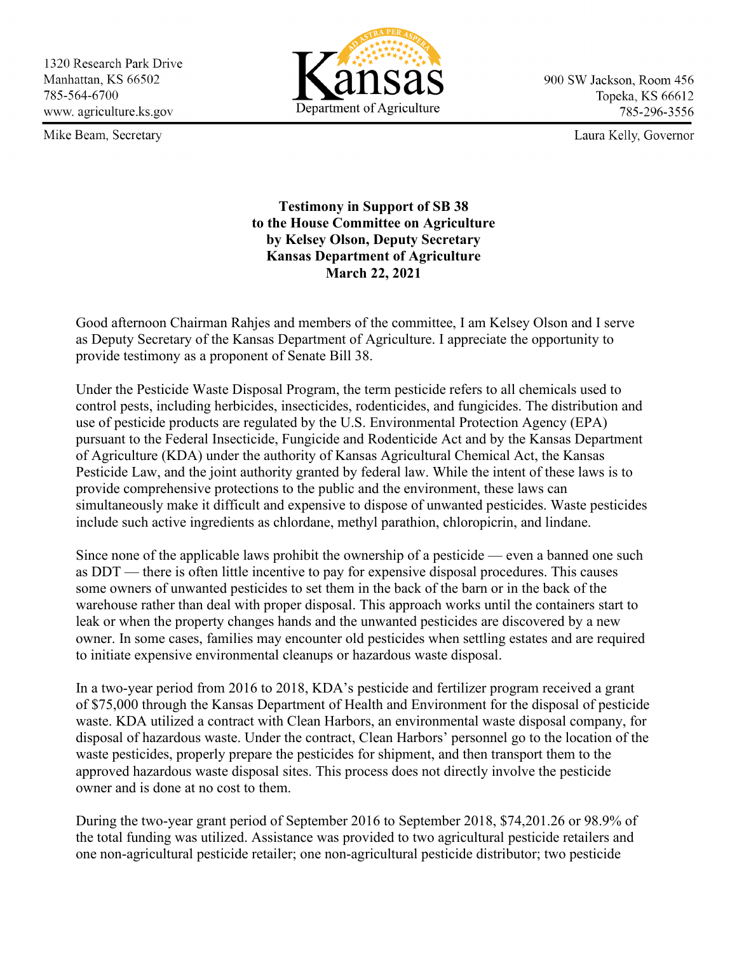1320 Research Park Drive Manhattan, KS 66502 785-564-6700 www.agriculture.ks.gov

Mike Beam, Secretary



900 SW Jackson, Room 456 Topeka, KS 66612 785-296-3556

Laura Kelly, Governor

**Testimony in Support of SB 38 to the House Committee on Agriculture by Kelsey Olson, Deputy Secretary Kansas Department of Agriculture March 22, 2021**

Good afternoon Chairman Rahjes and members of the committee, I am Kelsey Olson and I serve as Deputy Secretary of the Kansas Department of Agriculture. I appreciate the opportunity to provide testimony as a proponent of Senate Bill 38.

Under the Pesticide Waste Disposal Program, the term pesticide refers to all chemicals used to control pests, including herbicides, insecticides, rodenticides, and fungicides. The distribution and use of pesticide products are regulated by the U.S. Environmental Protection Agency (EPA) pursuant to the Federal Insecticide, Fungicide and Rodenticide Act and by the Kansas Department of Agriculture (KDA) under the authority of Kansas Agricultural Chemical Act, the Kansas Pesticide Law, and the joint authority granted by federal law. While the intent of these laws is to provide comprehensive protections to the public and the environment, these laws can simultaneously make it difficult and expensive to dispose of unwanted pesticides. Waste pesticides include such active ingredients as chlordane, methyl parathion, chloropicrin, and lindane.

Since none of the applicable laws prohibit the ownership of a pesticide — even a banned one such as DDT — there is often little incentive to pay for expensive disposal procedures. This causes some owners of unwanted pesticides to set them in the back of the barn or in the back of the warehouse rather than deal with proper disposal. This approach works until the containers start to leak or when the property changes hands and the unwanted pesticides are discovered by a new owner. In some cases, families may encounter old pesticides when settling estates and are required to initiate expensive environmental cleanups or hazardous waste disposal.

In a two-year period from 2016 to 2018, KDA's pesticide and fertilizer program received a grant of \$75,000 through the Kansas Department of Health and Environment for the disposal of pesticide waste. KDA utilized a contract with Clean Harbors, an environmental waste disposal company, for disposal of hazardous waste. Under the contract, Clean Harbors' personnel go to the location of the waste pesticides, properly prepare the pesticides for shipment, and then transport them to the approved hazardous waste disposal sites. This process does not directly involve the pesticide owner and is done at no cost to them.

During the two-year grant period of September 2016 to September 2018, \$74,201.26 or 98.9% of the total funding was utilized. Assistance was provided to two agricultural pesticide retailers and one non-agricultural pesticide retailer; one non-agricultural pesticide distributor; two pesticide